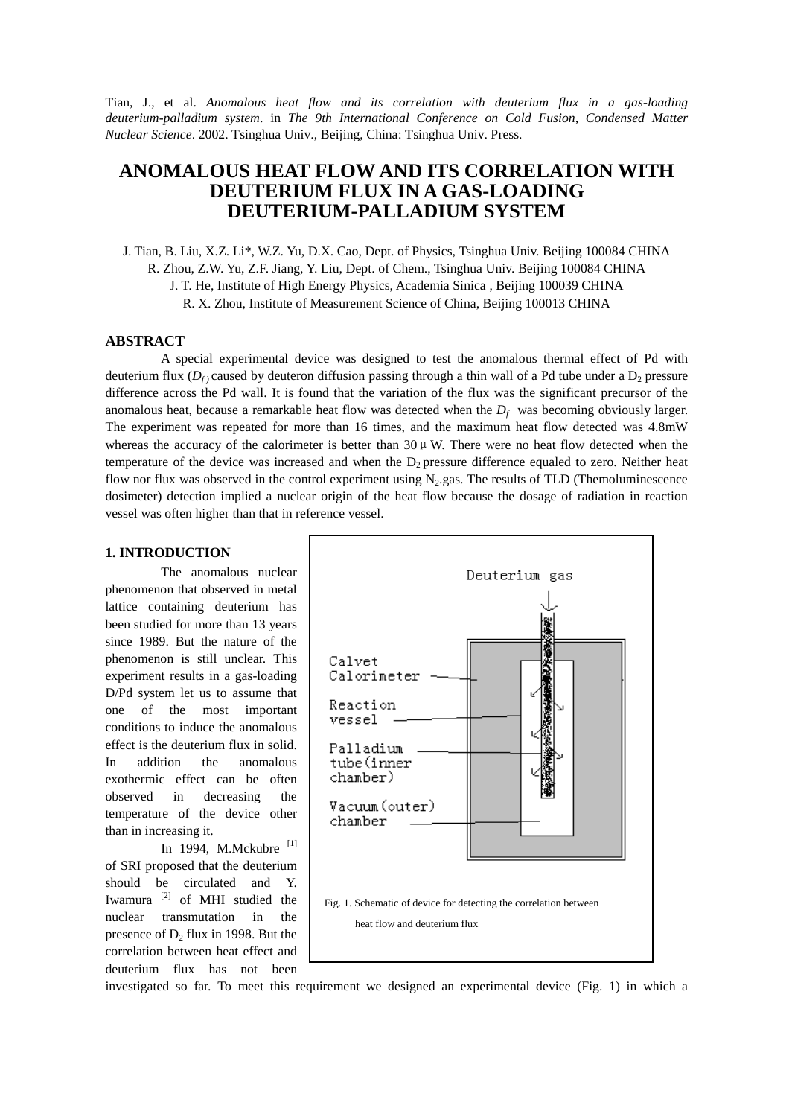Tian, J., et al. *Anomalous heat flow and its correlation with deuterium flux in a gas-loading deuterium-palladium system*. in *The 9th International Conference on Cold Fusion, Condensed Matter Nuclear Science*. 2002. Tsinghua Univ., Beijing, China: Tsinghua Univ. Press.

# **ANOMALOUS HEAT FLOW AND ITS CORRELATION WITH DEUTERIUM FLUX IN A GAS-LOADING DEUTERIUM-PALLADIUM SYSTEM**

J. Tian, B. Liu, X.Z. Li\*, W.Z. Yu, D.X. Cao, Dept. of Physics, Tsinghua Univ. Beijing 100084 CHINA

R. Zhou, Z.W. Yu, Z.F. Jiang, Y. Liu, Dept. of Chem., Tsinghua Univ. Beijing 100084 CHINA

J. T. He, Institute of High Energy Physics, Academia Sinica , Beijing 100039 CHINA

R. X. Zhou, Institute of Measurement Science of China, Beijing 100013 CHINA

## **ABSTRACT**

A special experimental device was designed to test the anomalous thermal effect of Pd with deuterium flux ( $D_f$ ) caused by deuteron diffusion passing through a thin wall of a Pd tube under a  $D_2$  pressure difference across the Pd wall. It is found that the variation of the flux was the significant precursor of the anomalous heat, because a remarkable heat flow was detected when the  $D_f$  was becoming obviously larger. The experiment was repeated for more than 16 times, and the maximum heat flow detected was 4.8mW whereas the accuracy of the calorimeter is better than  $30 \mu$  W. There were no heat flow detected when the temperature of the device was increased and when the  $D_2$  pressure difference equaled to zero. Neither heat flow nor flux was observed in the control experiment using  $N_2$  gas. The results of TLD (Themoluminescence dosimeter) detection implied a nuclear origin of the heat flow because the dosage of radiation in reaction vessel was often higher than that in reference vessel.

## **1. INTRODUCTION**

The anomalous nuclear phenomenon that observed in metal lattice containing deuterium has been studied for more than 13 years since 1989. But the nature of the phenomenon is still unclear. This experiment results in a gas-loading D/Pd system let us to assume that one of the most important conditions to induce the anomalous effect is the deuterium flux in solid. In addition the anomalous exothermic effect can be often observed in decreasing the temperature of the device other than in increasing it.

In 1994, M.Mckubre [1] of SRI proposed that the deuterium should be circulated and Y. Iwamura [2] of MHI studied the nuclear transmutation in the presence of  $D_2$  flux in 1998. But the correlation between heat effect and deuterium flux has not been



investigated so far. To meet this requirement we designed an experimental device (Fig. 1) in which a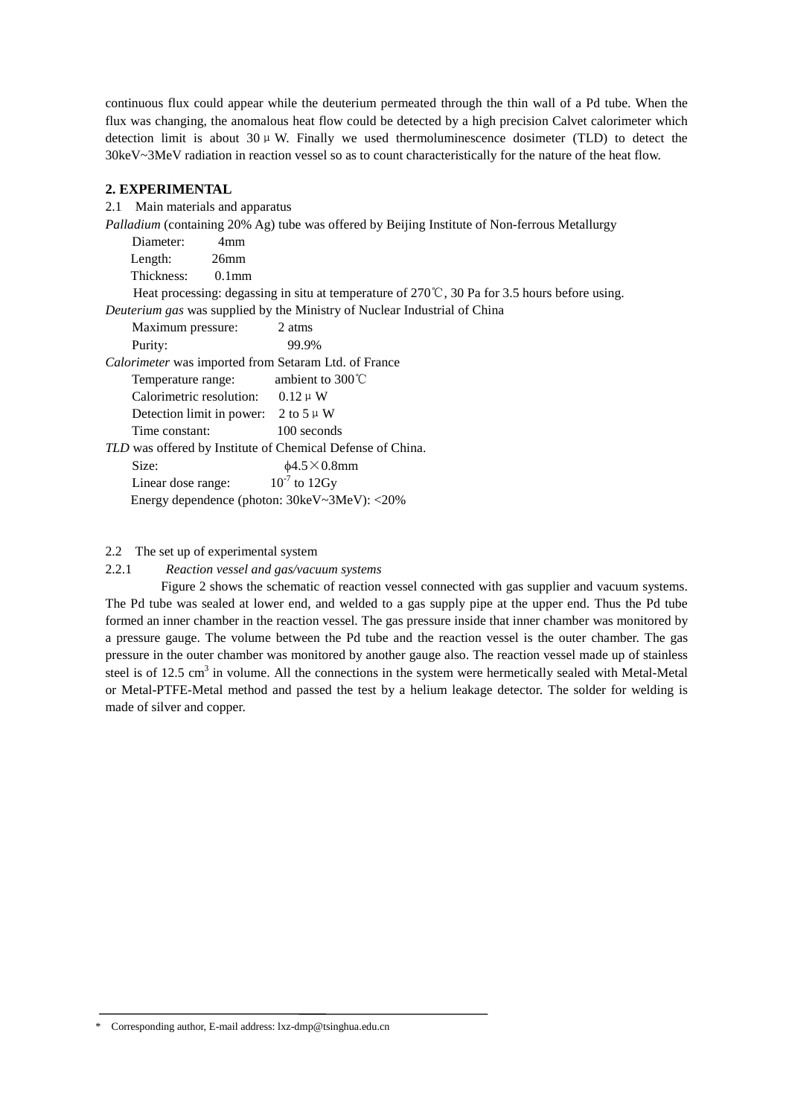continuous flux could appear while the deuterium permeated through the thin wall of a Pd tube. When the flux was changing, the anomalous heat flow could be detected by a high precision Calvet calorimeter which detection limit is about  $30 \mu$  W. Finally we used thermoluminescence dosimeter (TLD) to detect the 30keV~3MeV radiation in reaction vessel so as to count characteristically for the nature of the heat flow.

# **2. EXPERIMENTAL**

2.1 Main materials and apparatus

*Palladium* (containing 20% Ag) tube was offered by Beijing Institute of Non-ferrous Metallurgy

|                                                                                                                | Diameter:         | 4mm      |                                                                                  |  |  |  |  |
|----------------------------------------------------------------------------------------------------------------|-------------------|----------|----------------------------------------------------------------------------------|--|--|--|--|
|                                                                                                                | Length:           | $26$ mm  |                                                                                  |  |  |  |  |
|                                                                                                                | Thickness:        | $0.1$ mm |                                                                                  |  |  |  |  |
| Heat processing: degassing in situ at temperature of $270^{\circ}\text{C}$ , 30 Pa for 3.5 hours before using. |                   |          |                                                                                  |  |  |  |  |
|                                                                                                                |                   |          | <i>Deuterium gas</i> was supplied by the Ministry of Nuclear Industrial of China |  |  |  |  |
|                                                                                                                | Maximum pressure: |          | 2 atms                                                                           |  |  |  |  |
|                                                                                                                | D                 |          | $\Omega$ $\Omega$ $\Omega$                                                       |  |  |  |  |

Purity: 99.9%

*Calorimeter* was imported from Setaram Ltd. of France Temperature range: ambient to 300℃

| Calorimetric resolution:  | $0.12 \mu W$   |  |
|---------------------------|----------------|--|
| Detection limit in power: | 2 to 5 $\mu$ W |  |

Time constant: 100 seconds

*TLD* was offered by Institute of Chemical Defense of China.  $\sin \theta$   $\frac{1}{2}$   $\frac{1}{2}$   $\frac{1}{2}$   $\frac{1}{2}$   $\frac{1}{2}$   $\frac{1}{2}$   $\frac{1}{2}$   $\frac{1}{2}$   $\frac{1}{2}$   $\frac{1}{2}$   $\frac{1}{2}$   $\frac{1}{2}$   $\frac{1}{2}$   $\frac{1}{2}$   $\frac{1}{2}$   $\frac{1}{2}$   $\frac{1}{2}$   $\frac{1}{2}$   $\frac{1}{2}$   $\frac{1}{2}$   $\frac{1}{2}$   $\frac{$ 

| DILU.              | $\psi + \omega \wedge \psi$ . OHHH           |
|--------------------|----------------------------------------------|
| Linear dose range: | $10^{-7}$ to 12Gy                            |
|                    | Energy dependence (photon: 30keV~3MeV): <20% |

## 2.2 The set up of experimental system

## 2.2.1 *Reaction vessel and gas/vacuum systems*

Figure 2 shows the schematic of reaction vessel connected with gas supplier and vacuum systems. The Pd tube was sealed at lower end, and welded to a gas supply pipe at the upper end. Thus the Pd tube formed an inner chamber in the reaction vessel. The gas pressure inside that inner chamber was monitored by a pressure gauge. The volume between the Pd tube and the reaction vessel is the outer chamber. The gas pressure in the outer chamber was monitored by another gauge also. The reaction vessel made up of stainless steel is of 12.5 cm<sup>3</sup> in volume. All the connections in the system were hermetically sealed with Metal-Metal or Metal-PTFE-Metal method and passed the test by a helium leakage detector. The solder for welding is made of silver and copper.

\* Corresponding author, E-mail address: lxz-dmp@tsinghua.edu.cn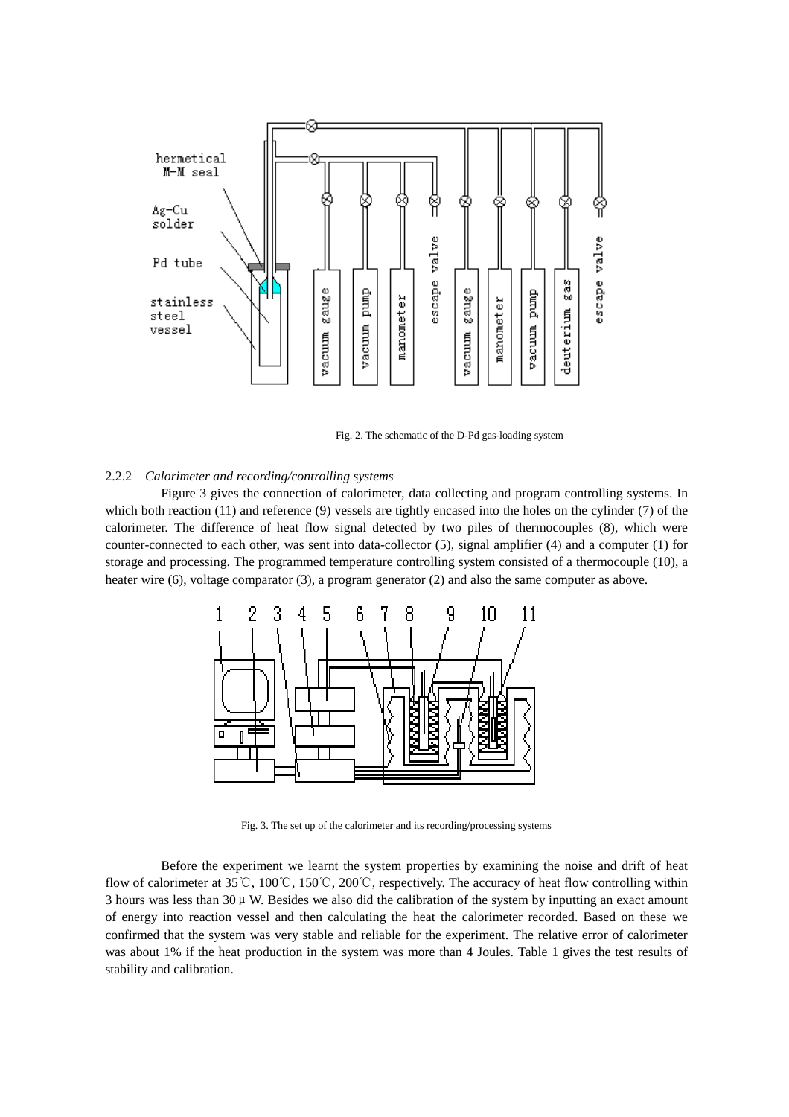

Fig. 2. The schematic of the D-Pd gas-loading system

#### 2.2.2 *Calorimeter and recording/controlling systems*

Figure 3 gives the connection of calorimeter, data collecting and program controlling systems. In which both reaction (11) and reference (9) vessels are tightly encased into the holes on the cylinder (7) of the calorimeter. The difference of heat flow signal detected by two piles of thermocouples (8), which were counter-connected to each other, was sent into data-collector (5), signal amplifier (4) and a computer (1) for storage and processing. The programmed temperature controlling system consisted of a thermocouple (10), a heater wire (6), voltage comparator (3), a program generator (2) and also the same computer as above.



Fig. 3. The set up of the calorimeter and its recording/processing systems

Before the experiment we learnt the system properties by examining the noise and drift of heat flow of calorimeter at 35℃, 100℃, 150℃, 200℃, respectively. The accuracy of heat flow controlling within 3 hours was less than  $30 \mu$  W. Besides we also did the calibration of the system by inputting an exact amount of energy into reaction vessel and then calculating the heat the calorimeter recorded. Based on these we confirmed that the system was very stable and reliable for the experiment. The relative error of calorimeter was about 1% if the heat production in the system was more than 4 Joules. Table 1 gives the test results of stability and calibration.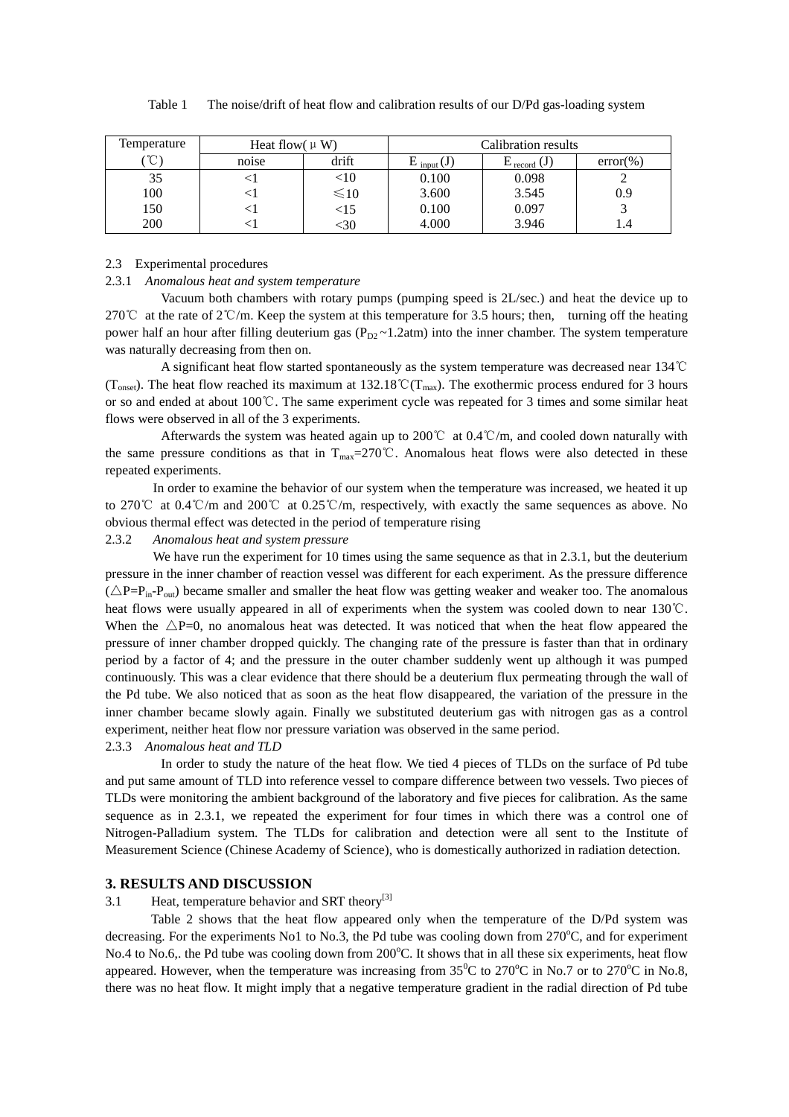| Temperature        | Heat flow( $\mu$ W) |             | Calibration results |                                    |              |  |
|--------------------|---------------------|-------------|---------------------|------------------------------------|--------------|--|
| $\sim$<br>$\sim$ . | noise               | drift       | $E_{input}(J)$      | $\mathbf{L}$ record $(\mathbf{J})$ | $error(\% )$ |  |
| 35                 |                     | $< \! 10$   | 0.100               | 0.098                              |              |  |
| 100                |                     | $\leq 10$   | 3.600               | 3.545                              | 0.9          |  |
| 150                |                     | $<$ 15 $\,$ | 0.100               | 0.097                              |              |  |
| 200                |                     | :30         | 4.000               | 3.946                              |              |  |

Table 1 The noise/drift of heat flow and calibration results of our D/Pd gas-loading system

## 2.3 Experimental procedures

#### 2.3.1 *Anomalous heat and system temperature*

Vacuum both chambers with rotary pumps (pumping speed is 2L/sec.) and heat the device up to 270℃ at the rate of 2℃/m. Keep the system at this temperature for 3.5 hours; then, turning off the heating power half an hour after filling deuterium gas ( $P_{D2} \sim 1.2$ atm) into the inner chamber. The system temperature was naturally decreasing from then on.

A significant heat flow started spontaneously as the system temperature was decreased near 134℃ (T<sub>onset</sub>). The heat flow reached its maximum at 132.18℃(T<sub>max</sub>). The exothermic process endured for 3 hours or so and ended at about 100℃. The same experiment cycle was repeated for 3 times and some similar heat flows were observed in all of the 3 experiments.

Afterwards the system was heated again up to 200℃ at 0.4℃/m, and cooled down naturally with the same pressure conditions as that in  $T_{\text{max}}=270^{\circ}$ . Anomalous heat flows were also detected in these repeated experiments.

In order to examine the behavior of our system when the temperature was increased, we heated it up to 270℃ at 0.4℃/m and 200℃ at 0.25℃/m, respectively, with exactly the same sequences as above. No obvious thermal effect was detected in the period of temperature rising

### 2.3.2 *Anomalous heat and system pressure*

We have run the experiment for 10 times using the same sequence as that in 2.3.1, but the deuterium pressure in the inner chamber of reaction vessel was different for each experiment. As the pressure difference  $(\triangle P=P_{in}-P_{out})$  became smaller and smaller the heat flow was getting weaker and weaker too. The anomalous heat flows were usually appeared in all of experiments when the system was cooled down to near 130℃. When the  $\triangle P=0$ , no anomalous heat was detected. It was noticed that when the heat flow appeared the pressure of inner chamber dropped quickly. The changing rate of the pressure is faster than that in ordinary period by a factor of 4; and the pressure in the outer chamber suddenly went up although it was pumped continuously. This was a clear evidence that there should be a deuterium flux permeating through the wall of the Pd tube. We also noticed that as soon as the heat flow disappeared, the variation of the pressure in the inner chamber became slowly again. Finally we substituted deuterium gas with nitrogen gas as a control experiment, neither heat flow nor pressure variation was observed in the same period.

#### 2.3.3 *Anomalous heat and TLD*

In order to study the nature of the heat flow. We tied 4 pieces of TLDs on the surface of Pd tube and put same amount of TLD into reference vessel to compare difference between two vessels. Two pieces of TLDs were monitoring the ambient background of the laboratory and five pieces for calibration. As the same sequence as in 2.3.1, we repeated the experiment for four times in which there was a control one of Nitrogen-Palladium system. The TLDs for calibration and detection were all sent to the Institute of Measurement Science (Chinese Academy of Science), who is domestically authorized in radiation detection.

#### **3. RESULTS AND DISCUSSION**

#### 3.1 Heat, temperature behavior and SRT theory<sup>[3]</sup>

Table 2 shows that the heat flow appeared only when the temperature of the D/Pd system was decreasing. For the experiments No1 to No.3, the Pd tube was cooling down from  $270^{\circ}$ C, and for experiment No.4 to No.6,. the Pd tube was cooling down from 200°C. It shows that in all these six experiments, heat flow appeared. However, when the temperature was increasing from  $35^{\circ}$ C to  $270^{\circ}$ C in No.7 or to  $270^{\circ}$ C in No.8, there was no heat flow. It might imply that a negative temperature gradient in the radial direction of Pd tube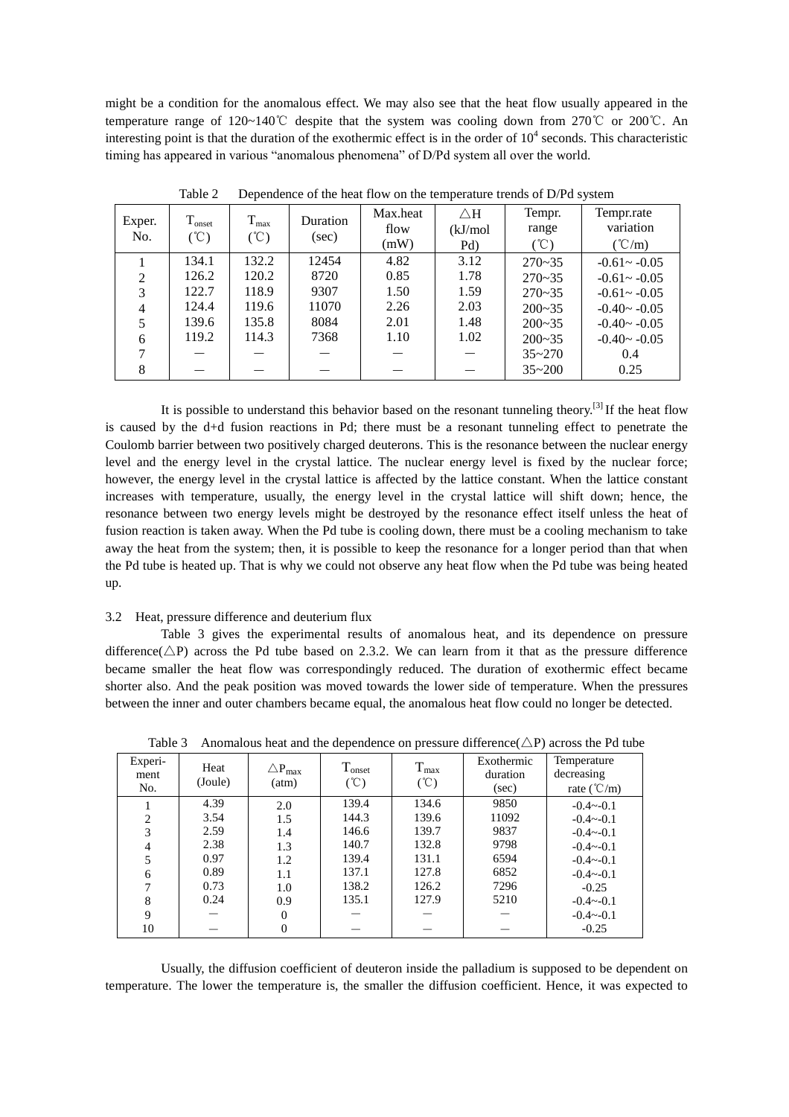might be a condition for the anomalous effect. We may also see that the heat flow usually appeared in the temperature range of 120~140℃ despite that the system was cooling down from 270℃ or 200℃. An interesting point is that the duration of the exothermic effect is in the order of  $10^4$  seconds. This characteristic timing has appeared in various "anomalous phenomena" of D/Pd system all over the world.

|                |             | . .                      |                 |          | . .           |            |                 |
|----------------|-------------|--------------------------|-----------------|----------|---------------|------------|-----------------|
|                | $T_{onset}$ | $T_{max}$                | <b>Duration</b> | Max.heat | $\triangle H$ | Tempr.     | Tempr.rate      |
| Exper.<br>No.  | (C)         | $({}^{\circ}\mathbb{C})$ |                 | flow     | (kJ/mol       | range      | variation       |
|                |             |                          | (sec)           | (mW)     | Pd)           | (°C)       | $(^{\circ}C/m)$ |
|                | 134.1       | 132.2                    | 12454           | 4.82     | 3.12          | $270 - 35$ | $-0.61 - -0.05$ |
| $\mathfrak{D}$ | 126.2       | 120.2                    | 8720            | 0.85     | 1.78          | $270 - 35$ | $-0.61 - -0.05$ |
| 3              | 122.7       | 118.9                    | 9307            | 1.50     | 1.59          | $270 - 35$ | $-0.61 - -0.05$ |
| 4              | 124.4       | 119.6                    | 11070           | 2.26     | 2.03          | $200 - 35$ | $-0.40 - -0.05$ |
|                | 139.6       | 135.8                    | 8084            | 2.01     | 1.48          | $200 - 35$ | $-0.40 - -0.05$ |
| 6              | 119.2       | 114.3                    | 7368            | 1.10     | 1.02          | $200 - 35$ | $-0.40 - -0.05$ |
|                |             |                          |                 |          |               | $35 - 270$ | 0.4             |
| 8              |             |                          |                 |          |               | $35 - 200$ | 0.25            |

Table 2 Dependence of the heat flow on the temperature trends of D/Pd system

It is possible to understand this behavior based on the resonant tunneling theory.<sup>[3]</sup> If the heat flow is caused by the d+d fusion reactions in Pd; there must be a resonant tunneling effect to penetrate the Coulomb barrier between two positively charged deuterons. This is the resonance between the nuclear energy level and the energy level in the crystal lattice. The nuclear energy level is fixed by the nuclear force; however, the energy level in the crystal lattice is affected by the lattice constant. When the lattice constant increases with temperature, usually, the energy level in the crystal lattice will shift down; hence, the resonance between two energy levels might be destroyed by the resonance effect itself unless the heat of fusion reaction is taken away. When the Pd tube is cooling down, there must be a cooling mechanism to take away the heat from the system; then, it is possible to keep the resonance for a longer period than that when the Pd tube is heated up. That is why we could not observe any heat flow when the Pd tube was being heated up.

## 3.2 Heat, pressure difference and deuterium flux

Table 3 gives the experimental results of anomalous heat, and its dependence on pressure difference( $\triangle P$ ) across the Pd tube based on 2.3.2. We can learn from it that as the pressure difference became smaller the heat flow was correspondingly reduced. The duration of exothermic effect became shorter also. And the peak position was moved towards the lower side of temperature. When the pressures between the inner and outer chambers became equal, the anomalous heat flow could no longer be detected.

| Experi-<br>ment<br>No. | Heat<br>(Joule) | $\bigtriangleup \mathrm{P}_{\mathrm{max}}$<br>(atm) | T <sub>onset</sub><br>$({}^{\circ}\mathbb{C})$ | $T_{max}$<br>$({}^{\circ}\mathbb{C})$ | Exothermic<br>duration<br>(sec) | Temperature<br>decreasing<br>rate $(^{\circ}C/m)$ |
|------------------------|-----------------|-----------------------------------------------------|------------------------------------------------|---------------------------------------|---------------------------------|---------------------------------------------------|
|                        | 4.39            | 2.0                                                 | 139.4                                          | 134.6                                 | 9850                            | $-0.4 - 0.1$                                      |
| $\overline{2}$         | 3.54            | 1.5                                                 | 144.3                                          | 139.6                                 | 11092                           | $-0.4 - 0.1$                                      |
| 3                      | 2.59            | 1.4                                                 | 146.6                                          | 139.7                                 | 9837                            | $-0.4 - 0.1$                                      |
| 4                      | 2.38            | 1.3                                                 | 140.7                                          | 132.8                                 | 9798                            | $-0.4 \sim -0.1$                                  |
| 5                      | 0.97            | 1.2                                                 | 139.4                                          | 131.1                                 | 6594                            | $-0.4 - 0.1$                                      |
| 6                      | 0.89            | 1.1                                                 | 137.1                                          | 127.8                                 | 6852                            | $-0.4 - 0.1$                                      |
| $\mathbf{r}$           | 0.73            | 1.0                                                 | 138.2                                          | 126.2                                 | 7296                            | $-0.25$                                           |
| 8                      | 0.24            | 0.9                                                 | 135.1                                          | 127.9                                 | 5210                            | $-0.4 - 0.1$                                      |
| 9                      |                 | $\Omega$                                            |                                                |                                       |                                 | $-0.4 - 0.1$                                      |
| 10                     |                 | $\Omega$                                            |                                                |                                       |                                 | $-0.25$                                           |

Table 3 Anomalous heat and the dependence on pressure difference( $\triangle P$ ) across the Pd tube

Usually, the diffusion coefficient of deuteron inside the palladium is supposed to be dependent on temperature. The lower the temperature is, the smaller the diffusion coefficient. Hence, it was expected to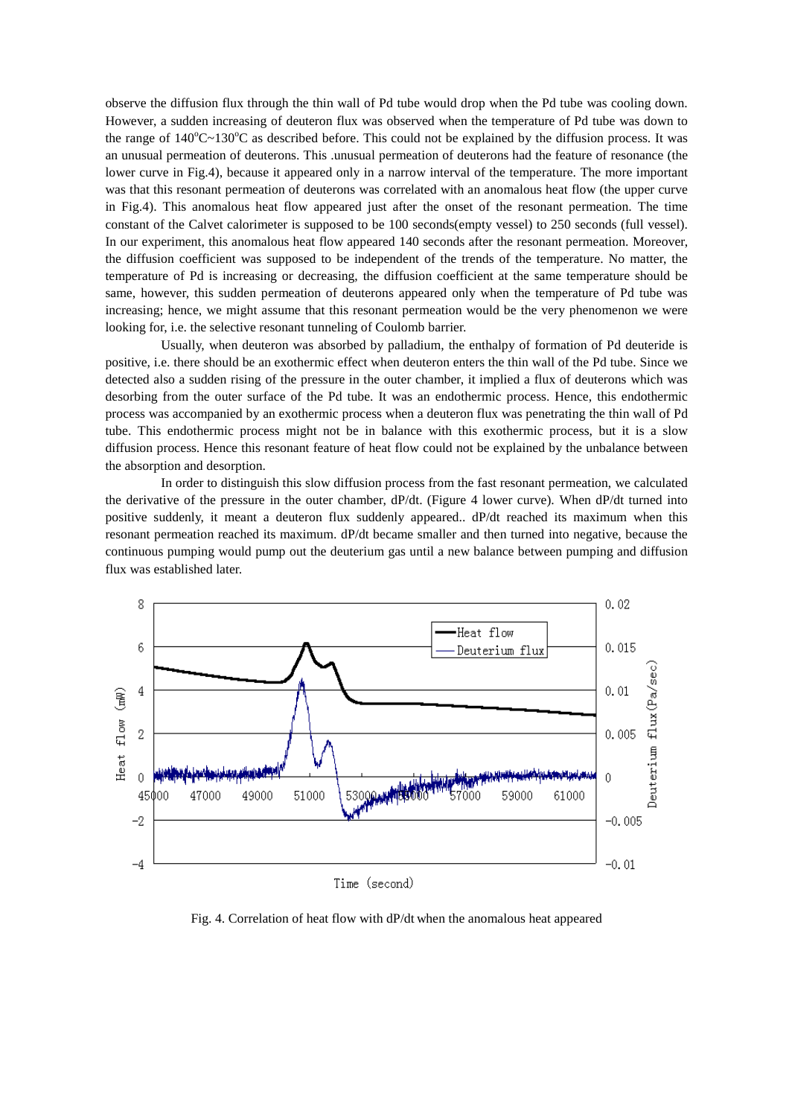observe the diffusion flux through the thin wall of Pd tube would drop when the Pd tube was cooling down. However, a sudden increasing of deuteron flux was observed when the temperature of Pd tube was down to the range of  $140^{\circ}C - 130^{\circ}C$  as described before. This could not be explained by the diffusion process. It was an unusual permeation of deuterons. This .unusual permeation of deuterons had the feature of resonance (the lower curve in Fig.4), because it appeared only in a narrow interval of the temperature. The more important was that this resonant permeation of deuterons was correlated with an anomalous heat flow (the upper curve in Fig.4). This anomalous heat flow appeared just after the onset of the resonant permeation. The time constant of the Calvet calorimeter is supposed to be 100 seconds(empty vessel) to 250 seconds (full vessel). In our experiment, this anomalous heat flow appeared 140 seconds after the resonant permeation. Moreover, the diffusion coefficient was supposed to be independent of the trends of the temperature. No matter, the temperature of Pd is increasing or decreasing, the diffusion coefficient at the same temperature should be same, however, this sudden permeation of deuterons appeared only when the temperature of Pd tube was increasing; hence, we might assume that this resonant permeation would be the very phenomenon we were looking for, i.e. the selective resonant tunneling of Coulomb barrier.

Usually, when deuteron was absorbed by palladium, the enthalpy of formation of Pd deuteride is positive, i.e. there should be an exothermic effect when deuteron enters the thin wall of the Pd tube. Since we detected also a sudden rising of the pressure in the outer chamber, it implied a flux of deuterons which was desorbing from the outer surface of the Pd tube. It was an endothermic process. Hence, this endothermic process was accompanied by an exothermic process when a deuteron flux was penetrating the thin wall of Pd tube. This endothermic process might not be in balance with this exothermic process, but it is a slow diffusion process. Hence this resonant feature of heat flow could not be explained by the unbalance between the absorption and desorption.

In order to distinguish this slow diffusion process from the fast resonant permeation, we calculated the derivative of the pressure in the outer chamber, dP/dt. (Figure 4 lower curve). When dP/dt turned into positive suddenly, it meant a deuteron flux suddenly appeared.. dP/dt reached its maximum when this resonant permeation reached its maximum. dP/dt became smaller and then turned into negative, because the continuous pumping would pump out the deuterium gas until a new balance between pumping and diffusion flux was established later.



Fig. 4. Correlation of heat flow with dP/dt when the anomalous heat appeared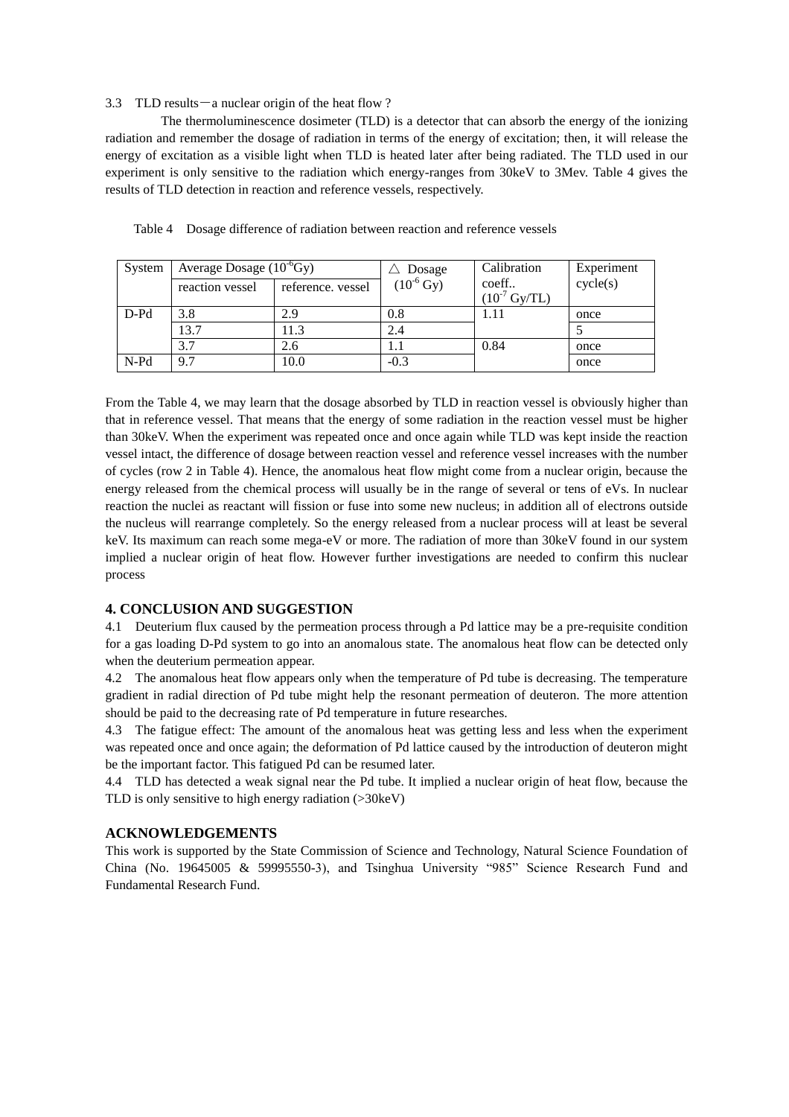#### 3.3 TLD results  $-a$  nuclear origin of the heat flow ?

The thermoluminescence dosimeter (TLD) is a detector that can absorb the energy of the ionizing radiation and remember the dosage of radiation in terms of the energy of excitation; then, it will release the energy of excitation as a visible light when TLD is heated later after being radiated. The TLD used in our experiment is only sensitive to the radiation which energy-ranges from 30keV to 3Mev. Table 4 gives the results of TLD detection in reaction and reference vessels, respectively.

| System  | Average Dosage $(10^{\circ}$ Gy) |                   | Dosage                 | Calibration                     | Experiment |
|---------|----------------------------------|-------------------|------------------------|---------------------------------|------------|
|         | reaction vessel                  | reference. vessel | $(10^{-6} \text{ Gy})$ | coeff<br>$(10^7 \text{ Gy/TL})$ | cycle(s)   |
| $D- Pd$ | 3.8                              | 2.9               | 0.8                    | 1.11                            | once       |
|         | 13.7                             | 11.3              | 2.4                    |                                 |            |
|         | 3.7                              | 2.6               |                        | 0.84                            | once       |
| $N-Pd$  | 9.7                              | 10.0              | $-0.3$                 |                                 | once       |

Table 4 Dosage difference of radiation between reaction and reference vessels

From the Table 4, we may learn that the dosage absorbed by TLD in reaction vessel is obviously higher than that in reference vessel. That means that the energy of some radiation in the reaction vessel must be higher than 30keV. When the experiment was repeated once and once again while TLD was kept inside the reaction vessel intact, the difference of dosage between reaction vessel and reference vessel increases with the number of cycles (row 2 in Table 4). Hence, the anomalous heat flow might come from a nuclear origin, because the energy released from the chemical process will usually be in the range of several or tens of eVs. In nuclear reaction the nuclei as reactant will fission or fuse into some new nucleus; in addition all of electrons outside the nucleus will rearrange completely. So the energy released from a nuclear process will at least be several keV. Its maximum can reach some mega-eV or more. The radiation of more than 30keV found in our system implied a nuclear origin of heat flow. However further investigations are needed to confirm this nuclear process

## **4. CONCLUSION AND SUGGESTION**

4.1 Deuterium flux caused by the permeation process through a Pd lattice may be a pre-requisite condition for a gas loading D-Pd system to go into an anomalous state. The anomalous heat flow can be detected only when the deuterium permeation appear.

4.2 The anomalous heat flow appears only when the temperature of Pd tube is decreasing. The temperature gradient in radial direction of Pd tube might help the resonant permeation of deuteron. The more attention should be paid to the decreasing rate of Pd temperature in future researches.

4.3 The fatigue effect: The amount of the anomalous heat was getting less and less when the experiment was repeated once and once again; the deformation of Pd lattice caused by the introduction of deuteron might be the important factor. This fatigued Pd can be resumed later.

4.4 TLD has detected a weak signal near the Pd tube. It implied a nuclear origin of heat flow, because the TLD is only sensitive to high energy radiation (>30keV)

#### **ACKNOWLEDGEMENTS**

This work is supported by the State Commission of Science and Technology, Natural Science Foundation of China (No. 19645005 & 59995550-3), and Tsinghua University "985" Science Research Fund and Fundamental Research Fund.